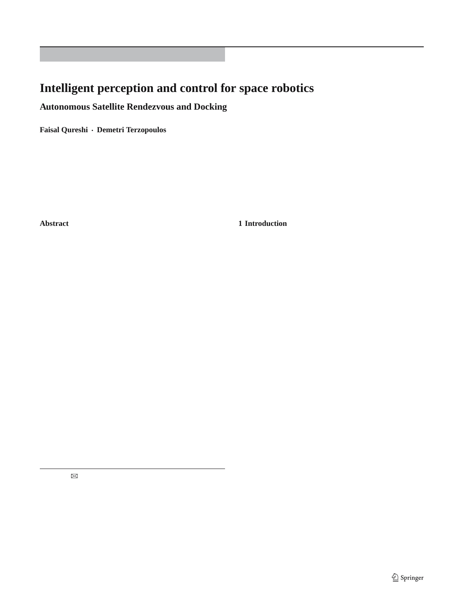ORIGINAL PAPER

# **Intelligent perception and control for space robotics**

**Autonomous Satellite Rendezvous and Docking**

**Faisal Qureshi · Demetri Terzopoulos**

Received: 24 July 2006 / Accepted: 23 February 2007 © Springer-Verlag 2007

**Abstract** We present a space robotic system capable of **1 Introduction**

capturing a free-ßying satellite for the purposes of on-orbit

satellite servicing. Currently such operations are carried outince the earliest days of the computer vision Þeld, researeither manually or through discrete-event scripted controlchers have struggled with the challenge of effectively combilers. The manual approach is costly and exposes astronauting low-level vision with artiÞcial intelligence (AI). Some to danger, while the scripted approach is tedious and britef the earliest work involved the combination of image anatle. Consequently, there is substantial interest in performing sis and symbolic AI to construct robots capable of autonothese operations autonomously, and the work presented herrous, task-driven operation [,36]. These early attempts is a step in this direction. To our knowledge, ours is the only met with limited success, in part because the vision prosatellite-capturing system that relies on vision and cognitiomblem is hard  $#3$ . The focus of vision research then shifto deal with an uncooperative satellite. Our innovative systed from vertically-integrated vision systems to low-level tem combines visual perception (object identiÞcation, recogvision modules. Currently available low- and intermediatenition, and tracking) with high-level reasoning in a hybrid level vision algorithms are sufÞciently competent to support deliberative/reactive computational framework. The reasosubsequent levels of processing. Consequently, there now is ning module, which encodes a model of the environment; enewed interest in high-level vision, which is necessary if performs deliberation to control the perception pipelineN we are to realize autonomous robots capable of performing it guides the vision system, validates its performance, andseful talks in dynamic, unpredictable environments. suggests corrections when vision is performing poorly. Fur-In this paper, we report on research in the domain of space thermore, it advises the behavioral controller to carry out itsobotics. In particular, we design a visually guided robotic tasks. Reasoning and related elements, among them intexystem capable of autonomously performing the challenging tion, context, and memory, are responsible for the robustnesask of capturing a non-cooperative, free-ßying satellite for and reliability of the overall system. We demonstrate our prothe purposes of on-orbit satellite servicing. Our innovative totype system controlling a robotic arm that autonomouslysystem features object recognition and tracking combined captures a free-ßying satellite in a realistic laboratory settingvith high-level symbolic reasoning within a hybrid deliberathat faithfully mimics on-orbit conditions. tive/reactive computational framework, called the Cognitive

F. Qureshi (⊠)

Department of Computer Science, University of Toronto, 10 Kings College Road, Room 3304, Toronto, ON M5S-3G4, Canada e-mail: faisal@cs.toronto.edu

#### D. Terzopoulos

Computer Science Department, University of California, Los Angeles, 4732 Boelter Hall, Los Angeles, CA 90095-1596, USA e-mail: dt@cs.ucla.edu

Controller (CoCo).

The work reported herein was done in collaboration with MD Robotics, Ltd.(currently MDA Space Missions), a Canadian company that has supported human space ßight since the early 1980s through advanced robotic systems, such as the Space ShuttleÕs Canadarm and the Mobile Servicing System for the International Space Station. The company, which undertakes extensive R&D projects in-house and through collaborations with universities and research institutions, regards autonomy as a necessary capability for future space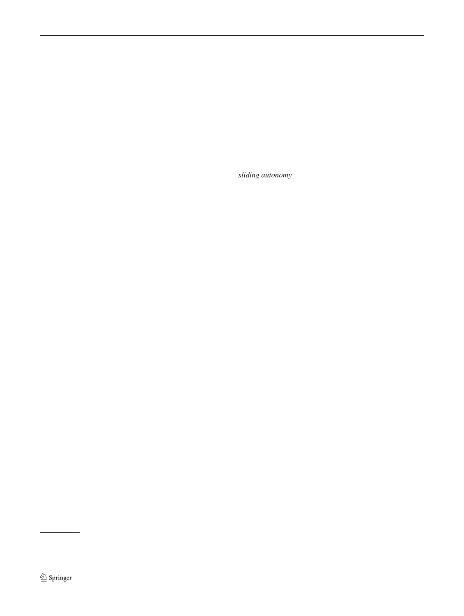robotics missions. The reported work was done as part of theal space agencies realize the important role of autonomous ROSA (Remote Operation with Supervised Autonomy) pro-rendezvous and docking (AR&D) operations in future space ject [\[17](#page-19-0)], which arose from this long-term vision. ROSAÕs missions and now have technology programs to develop this goal is to advance the state of the art (operator commandsapability [\[19](#page-19-3)[,45](#page-20-0)].

and discrete-event scripted control) by making possible a Autonomy entails that the on-board controller be capable remote system that can perform decisions in real time within of estimating and tracking the pose (position and orientadynamic environment using high-level artiÞcial intelligence tion) of the target satellite and guiding the robotic maniputechniques combined with robotic behavioral control andator as it (1) approaches the satellite, (2) maneuvers itself machine vision. to get into docking position, and (3) docks with the satellite.

The controller should also be able to handle anomalous situations, which might arise during an AR&D operation, without jeopardizing its own safety or that of the satellite. Another

On-orbit satellite servicing is the task of maintaining andrequirement that is desirable for space operations is that of repairing a satellite in orbit. It extends the operational life ofsliding autonomy, where a human operator can take over the the satellite, mitigates technical risks, reduces on-orbit losseß)anual operation of the robotic system at any level of the and helps manage orbital debris. Hence, it is of interest toak hierarchy [0[,40](#page-20-1)]. Sliding autonomy enhances the reliamultiple stakeholders, including satellite operators, manubility of a complex operation and it expands the range and facturers, and insurance compan[ies](#page-19-1) [28]. Although replacing a satellite is more cost-effective in some cases, on-orbit complexity of the tasks that a robotic system can undertake.

servicing is critical for more expensive satellite systems, such .3 Contributions

as space-based laser and global positioning system constella-

1.1 On-orbit satellite servicing

tions, or for one-of-a-kind systems like the Hubble telescope<sup>i</sup>,n this paper, we develop a visually-guided AR&D system which costs \$2.5 billion. As early as the 1980s, the Nationaand validate it in a realistic laboratory environment that emu-Aeronautics and Space Administration realized the imporlates on-orbit lighting conditions and target satellite drift. To tance of on-orbit servicing for protecting their assets in spac@ur knowledge, ours is the only AR&D system that uses [\[28](#page-19-2)]. vision as its primary sensory modality and can deal with an

Currently, on-orbit satellite servicing operations are car-uncooperative target satellite. Other AR&D systems either ried out manually; i.e., by an astronaut. However, manned eal with target satellites that communicate with the servimissions are usually very costly and there are human safetger craft about their heading and pose, or use other sensing concerns. Furthermore, it is currently impracticable to carry aids, such as radar and geostationary position satellite sys-out manned on-orbit servicing missions for satellites in geotems [\[33\]](#page-19-5).

synchronous equatorial orbit (GEO), as the space shuttle can Our system features CoCo, a new hybrid robot control franot reach them. Unmanned, tele-operated, ground-controllenework that combines a behavior-based reactive component missions are infeasible due to communications delays, inteand a logic-based deliberative component. CoCo draws upon mittence, and limited bandwidth between the ground and therior work in AI planning, plan-execution, mobile robotics, servicer. A viable alternative is to develop the capability ofethology, and artiÞcial life. Its motivation comes from the autonomous on-orbit satellite servicing. fact that humans, who are sophisticated autonomous agents,

1.2 Autonomous satellite rendezvous and docking

are able to function in complex environments through a combination of reactive behavior and deliberative reasoning. We demonstrate that CoCo is useful in advanced robotic systems

A critical Þrst phase of any on-orbit satellite servicing mis-<sup>that</sup> require or can beneÞt from highly autonomous operasion, be it for the purpose of refueling, reorbiting, repai-tion in unknown, non-static surroundings, especially in space ring, etc., involves rendezvousing and docking with the satel<sup>robotics</sup> where large distances and communication infralite. From the perspective of the software responsible fo<sup>gtructure limitations render human teleoperation exceedingly</sup> controlling the sensory apparatus and robotic manipulatof!ifPcult. In a series of realistic laboratory test scenarios, we the rendezvousing step is the most interesting and challen ubject our CoCo AR&D system to anomalous operational ging. Once the satellite is secured, we can assume a staff<sup>yents, forcing its deliberative component to modify existing</sup> workspace and handle the remaining steps using more prilans in order to achieve mission goals. The AR&D controlmitive scripted controllers<sup>[7]</sup>. Most national and internatioler demonstrates the capacity to function in important ways

in the absence of a human operator.

<span id="page-1-0"></span> $1$  The Hubble telescope captured the imagination of the public during its highly publicized repair missions, which were carried out by astronauts. by controlling the visual process and reasoning about the By some estimates, these repairs cost taxpayers as much as \$12 billion ents that occur in orbit. The system functions as follows: Our AR&D prototype meets the operational requirements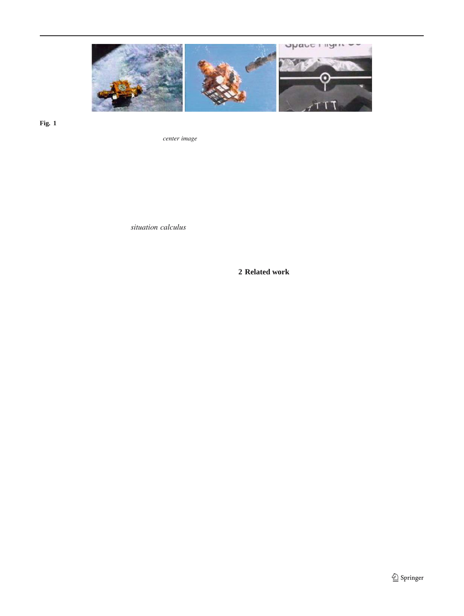

<span id="page-2-0"></span>Fig. 1 Images acquired during satellite capture. The left and centecrew use these images during satellite rendezvous and capture to locate images were captured using the shuttle bay cameras. The right imadee satellite at a distance of approximately 100m, to approach it, and to was captured by the end-effector camera. The *er image* shows the capture it with the CanadarmNthe shuttleOs manipulator arm in hovering position prior to the Þnal capture phase. The shuttle

First, captured images are processed to estimate the curervo behaviors for the task of satellite capturing. Se[cti](#page-4-0)on rent position and orientation of the satellite ([Fig](#page-2-0). Second, describes the satellite recognition and tracking module. We behavior-based perception and memory units use contextuaxplain the reactive module in Se6t. S[ect](#page-6-0)ion[s7](#page-12-0) an[d8](#page-14-0) desinformation to construct a symbolic description of the scenecribe the deliberative and the plan execution and monitoring Third, the cognitive module uses knowledge about scenmodules, respectively. Sectiondescribes the physical setup dynamics encoded using the *uation calculus* to construct and presents results. Finally, Settl presents our conclua scene interpretation. Finally, the cognitive module formu-sions.

lates a plan to achieve the current goal. The scene description

constructed in the third step provides a mechanism to verify

the Þndings of the vision system. Its ability to plan enables the system to handle unforeseen situations. **2 Related work**

The performance of the system results from the cooperation of its components, including low-level visual routines, Early attempts at designing autonomous robotic agents short and long-term memory processing, symbolic reaso-<br>short and long-term memory processing, symbolic reaso-ning, and the servo controllers of the robotic arm used to mitted success [1[,38](#page-20-2)[,39](#page-20-3)]. The 1980s saw the emergence of capture the satellite. Competent, reliable low-level visuan radically different, ethological approach to robotic agent routines are essential for meaningful higher-level processign, spearheaded by BrooksÖ subsumption architecture sing. Consequently, the AR&D system depends upon the [\[9](#page-19-7)] and the mantra Òthe world is its own best modelÓ. Most reliable operation of the low-level object recognition, tra-notable among modern ethological robots is Sony Corpo-cking, and pose-estimation routines. The AR&D system is ation[O](#page-19-8)s robotic dog, AIBO [ which illustrates both the able to handle transient errors in the low-level visual rou-strengths (operation in dynamic/unpredictable environments) tines, such as momentary loss of tracking, by using short-term and the weaknesses (inability to reason about goals) of the memory facilities. However, it cannot accomplish the task trict ethological approach. Hybrid architectures, containing when the low-level vision algorithms altogether fail to track both deliberative and reactive components, Þrst appeared in the satellite, in which case the high-level routines abort the late 1980s. A key issue is how to interface the two commission. Stable servoing routines that account for the maniponents. Autonomous robot architecture (AuRA) binds a set pulatorÕs dynamics are vital for a successful AR&D mission<sup>6</sup> reactive behaviors to a simple hierarchical planner that Hence, the AR&D prototype developed here assumes that chooses the appropriate behaviors in a given situ[atio](#page-19-9)n [ the robotic arm can servo competently under the guidance of In Servo subsumption symbolic (SSS), a symbolic planner the higher level modules. Although we have not proved the controls a reactive module 2. In ATLANTIS, the delibec[or](#page-19-11)rectness of the reasoning module, it appears in practice  $f\theta$  — module advises the reactive behaviors  $\theta$ . meet the task requirementsÑautonomous and safe satellite The state of the art in space robotics is the mars exploration rendezvous and docking. rover, Spirit, that visited Mars in 20040. Spirit is prima-

# 1.4 Overview

rily a tele-operated robot that is capable of taking pictures, driving, and operating instruments in response to commands transmitted from the ground, but it lacks any cognitive or reasoning abilities. The most successful autonomous robot

The remainder of this paper is organized as follows: In theo date that has cognitive abilities is ÒMinerva,Ò which takes next section we present relevant prior work. We then presentisitors on tours through the SmithsonianÖs National Museum the CoCo framework in Se[ct.](#page-3-0) Sectio[n4](#page-3-1) explains the visual of American History; however, vision is not MinervaÖs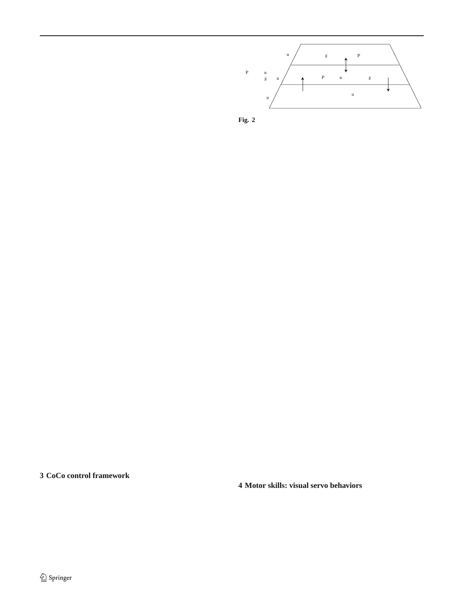primary sensory modality [1]. Minerva relies on other sensors, including laser range Þnders and sonars. Such se sors are undesirable for space operations, which have seve weight/energy limitations.

Like ATLANTIS, CoCo consists of both deliberative and reactive modules, featuring a reactive module that perform Reactive Modle  $\frac{\text{Abstracted world}}{\text{state}}$  Behavior ratines & competently on its own and a deliberative module that guides

the reactive module. CoCo was originally inspired by expe<sub>Tig. 2</sub> CoCo three-tiered architecture

rience implementing self-animating graphical characters for use in the entertainment industry. In particular, our approach

was motivated by the Òvirtual mermanÓ of Funge et.ą̃J. [ nesponsible for the immediate safety of the agent. As such, which augments a purely behavioral control substrato [ it functions competently on its own and runs at the highest with a logic-based deliberative layer employing the situatiorpriority. At the intermediate level, the plan execution and calculus and interval arithmetic in order to reason about dismonitoring module establishes an adviserÐclient relationship crete and continuous quantities and plan in highly dynami $\phi$ etween the deliberative and reactive modules ( $\theta$ ig. environments. CoCo differs in the following ways: Þrst, its In typical hybrid control frameworks, the reactive module deliberative module can support multiple specialized planserves as a mechanism to safely execute commands produners such that deliberative, goal-achieving behavior result ed through high-level reasoning 4 25 (a notable excep-from the cooperation between more than one planner. Theon is [\[6\]](#page-19-21)). A reactive module is capable of much more as ability to support multiple planners makes CoCo truly tas-is shown by Tu and Terzopoulos4, Blumberg B, and kable. Second, CoCo features a powerful and non-intrusiv&rkin [[7\]](#page-19-8), among others. Agre and Chap[man](#page-19-11)noberve that scheme for combining deliberation and reactivity, which most of our daily activities do not require any planning whatheeds advice from the deliberative module only when it issoever; rather, deliberation occurs when a novel, previously safe to do so. Here, the deliberative module advises the readnseen situation is encountered. This further highlights the tive module through a set of motivational variables. Third, importance of a reactive module in any autonomous robot. the reactive module presents the deliberative module with QoCo features an ethologically inspired behavior based reactractable, appropriately-abstracted interpretation of the realve system fashioned after those developed for autonomous world. The reactive module constructs and maintains the absharacters in virtual environme[nts \[](#page-20-6)44]. tracted world state in real-time using contextual and temporal In CoCo, the deliberative module advises the reactive information. module on a particular coarse of action through motivational

A survey of work about constructing high-level descrip-variables. In contrast to other control architectures where the tions from video is found in [0]. Knowledge modeling for deliberative module replaces the action selection mechanism the purposes of scene interpretation can either be handcrafteuilt into the reactive modulelß], our approach provides a [\[3](#page-19-17)] or automatic [4] (i.e., supported by machine learning). straightforward mechanism for providing high-level advice The second approach is not immediately feasible in our applito reactive behavior without interfering with the action seleccation since it requires a large training set, which is difÞcultion mechanism built into the reactive module.

to gather in our domain, in order to ensure that the system Figur[e2](#page-3-2) illustrates the AR&D system realized within the learns all the relevant knowledge, and it is not always clea£0C0 framework. The satellite recognition and tracking rouwhat the system has learnt. The scene descriptions construtines compute the position and orientation of the satellite and ted in [\[4\]](#page-19-19) are richer than those constructed by our systemșupply the perceptual input to the reactive module, where the however, they do not use scene descriptions to control theervo behaviors that control for the kinematic and dynamic visual process and formulate plans to achieve goals. actions of the robotic manipulator provide the relevant motor skills.

# <span id="page-3-0"></span>**3 CoCo control framework**

# <span id="page-3-1"></span>**4 Motor skills: visual servo behaviors**

CoCo is a three-tiered control framework that consists of deliberative, reactive, and plan execution and monitoring Satellite rendezvous and docking operations, like all space modules (Fig. [2\)](#page-3-2). The deliberative module encodes a missions, place stringent requirements on the safety of both knowledge-based domain model and implements a high-levelhe astronauts and the equipment. Therefore, these missions symbolic reasoning system. The reactive module implementadhere to strict operational guidelines and fully scripted and a low-level behavior-based controller with supporting per-rehearsed activities. The Mobile Servicing Systems Guide ception and memory subsyst[ems](#page-19-23). The reactive module is International Space Station Robotic Systems de Pnes

<span id="page-3-2"></span>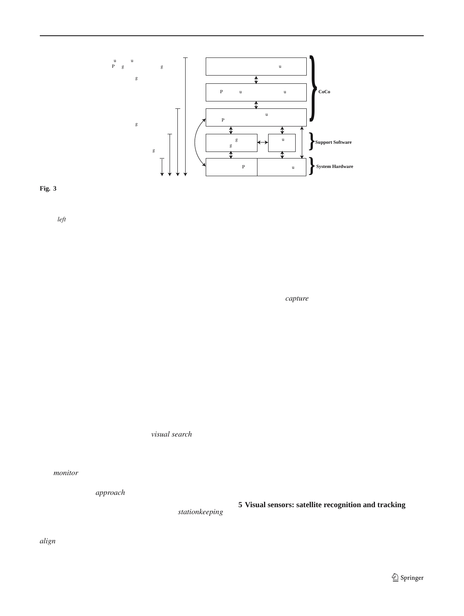

<span id="page-4-1"></span>Fig. 3 CoCo system architecture. The satellite rendezvous andandling capability renders the operation brittle at best. Besides, the docking system comprises an ethologically-inspired behavior modulaystem requires a detailed mission script. The addition of the reactive guided by a deliberative module with high-level reasoning abilities. We module results in a more robust autonomous operation, as the reßexive list the mission capabilities corresponding to different levels of controlbehaviors allow the system to respond to the various contingencies that on theleft. The degree of autonomy increases as we add more levels onight arise in its workspace. Still, however, the system can not formucontrol. At the lowest level, for example, an operator uses the live videdate plans through deliberation to achieve its goals. Consequently, the feed from the stereo camera pair to tele-operate the robotic manipulataystem requires a mission script. The top-most level of control boasts (a.k.a. the chaser robot or the servicer) to dock with the target satethe highest degree of autonomy. Here, the symbolic deliberation module lite. At the next level of control, visual servo routines that depend uporenables the system to generate the mission script on the ßy through reathe target satellite pose estimation module enable the robotic manipsoning lator to automatically capture the target satellite. Here, the lack of error

approach trajectories and envelops as well as mission stag**Esnally**, in the *capture* phase, the end-effector moves in to

for robotic manipulators during contact operations. During a dock with the satellite. manned satellite capture operation, an astronaut controls the Jasiobedzki and Li[u \[27\]](#page-19-24) also developed visual servo robotic arm and moves the end-effector through a sequende haviors corresponding to the six phases identiÞed above. of way points, which are deÞned relative to the target satellitePose-based servo algorithms that minimize the error between These way points are deÞned so as to reduce the time that the desired pose and the current pose of the end-effector end-effector spends in close proximity to the target satelliteimplement the visual servo behaviors. Poses are deÞned with

AR&D operations will most likely follow the operatio- respect to the end-effector or the target satellite. During telenal guidelines developed for manned operations, especiallyperated missions, the desired poses are set by the operathe concepts of way points, incremental alignment, and staytor; whereas, during autonomous operation the desired poses out zones. Jasiobedzki and Li2n divide a satellite capture are selected by the active servo behavior, such as monitor, operation into six phases (Fiġ: (1) visual search, (2) moni- approach, etc. Likewise, the higher-level controller can also tor, (3) approach, (4) stationkeep, (5) align, and (6) capture, et the desired poses, especially when the vision system is which comply with the robotic manipulator approach guide-failing, to move the end-effector along a particular trajeclines prescribed in<sub>4</sub>1]. During the*visual search* phase, the tory. The vision system, which estimates the transformation cameras are pointed in the direction of the target satellite etween the current pose and the desired pose, provides the and images from the cameras are processed to compute anor signal for the pose based servo routines. The visual initial estimate of the position and orientation of the satellite. servo behaviors provide the motor skills that are essential for The*monitor* phase Þxates the cameras on the detected sateluccessful satellite rendezvous and docking missions. lite while maintaining distance between the satellite and the

end-effector. The*approach* phase reduces the distance bet-

<span id="page-4-0"></span>ween the end-effector and the target satellite while keeping visual sensors: satellite recognition and tracking the cameras focused on the target. During *ionkeeping*,

the distance between the end-effector and the target is pre<sub>The Satellite</sub> recognition and tracking module ([Fig](#page-5-1).proserved and the cameras are kept locked onto the target. Thesses images from a calibrated passive video camera-pair align phase controls all six degrees of freedom, aligning the nounted on the end-effector of the robotic manipulator and end-effector with the docking interface of the target satellite estimates the relative position and orientation of the target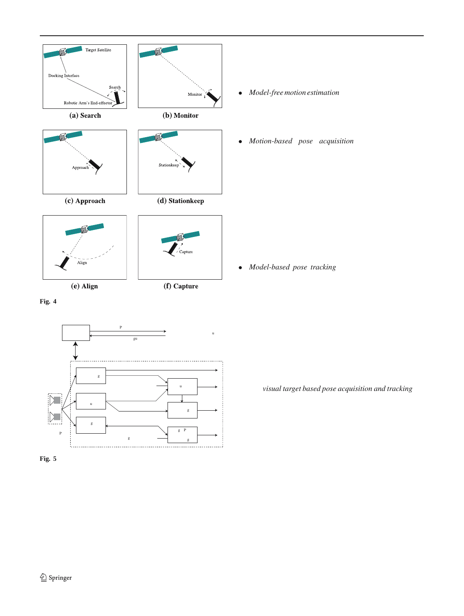

<span id="page-5-0"></span>**Fig. 4** Six phases during a satellite rendezvous and docking operation [\[27\]](#page-19-24)



<span id="page-5-1"></span>**Fig. 5** Satellite recognition and tracking system

image in Fig[.6\)](#page-6-1), and the system relies on natural features observed in stereo images to estimate the motion and pose of the satellite. The medium range operation consists of the following three conÞgurations:

- *Model-free motion estimation* In the Þrst phase, the vision system combines stereo and structure-from-motion to indirectly estimate the satellite motion in the camera reference frame by solving for the camera motion, which is the opposite of the satellite motio $\frac{a}{2}$ .
- *Motion-based pose acquisition* The second phase performs binary template matching to estimate the pose of the satellite without using prior information  $[$ ]. It matches a model of the observed satellite with the 3D data produced by the last phase and computes a six degree of freedom (DOF) rigid transformation that represents the relative pose of the satellite. The six DOFs are solved in two steps. The Þrst step, which is motivated by the observation that most satellites have an elongated structure, determines the major axis of the satellite. The second step solves for the remaining four DOFsÑthe rotation around the major axis and the three translationsÑthrough exhaustive 3D template matching over the four DOFs.
- *Model-based pose tracking* The last phase tracks the satellite with high precision and update rate by iteratively matching the 3D data with the model using a version of the iterative closest point algorith[m \[](#page-19-28)3]. This scheme does not match high-level features in the scene with the model at every iteration. This reduces its sensitivity to partial shadows, occlusion, and local loss of data caused by reßections and image saturation. Under normal operative conditions, model based tracking returns an estimate of the satelliteÕs pose at 2Hz with an accuracy on the order of a few centimeters and a few degrees.

The short range operation consists of one conÞguration, namely*visual target based pose acquisition and tracking*. At close range, the target satellite is only partially visible and it cannot be viewed simultaneously from both cameras (the center and right images in  $Fi(3)$ ; hence, the vision system processes monocular images. The constraints on the approach trajectory ensure that the docking interface on the target satellite is visible from close range. Markers on the docking interface are used to determine the pose and attitude of the satellite efÞciently and reliably at close rangel. Here, visual features are detected by processing an image window centered

satellite [\[24\]](#page-19-25). It supports medium and short range satellitearound their predicted locations. These features are then matproximity operations; i.e., approximately from 6 to 0.2m. ched against a model to estimate the pose of the satellite. The minimum distance corresponds to the separation be<sup>t</sup>he pose estimation algorithm requires at least four points to ween the camera and the satellite in contact position. compute the pose. When more than four points are visible,

The vision algorithms implemented rely mostly on the pre-sampling techniques choose the group of points that gives the sence of natural image features and satellite models. Duringest pose information. For the short range vision module, the the medium range operation, the vision system cameras viencuracy is on the order of a fraction of a degree and 1 mm either the complete satellite or a signiÞcant portion of it (left right before docking.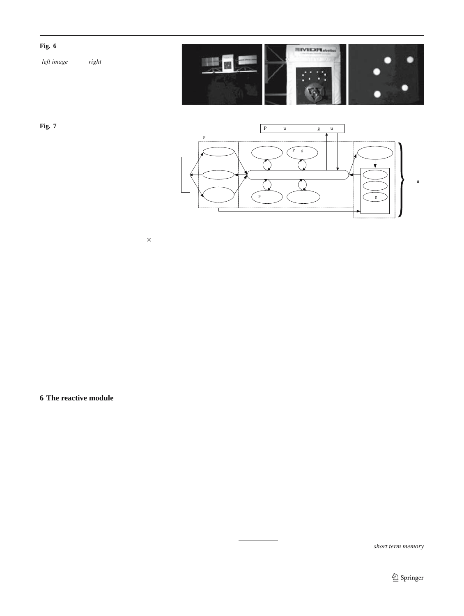<span id="page-6-1"></span>**Fig. 6** Images from a sequence recorded during an experiment (*left image* at 5m;*right* at 0.2m)



<span id="page-6-2"></span>**Fig. 7** Functional decomposition of the reactive module, which is realized as a



The vision system returns a  $\# 4$  matrix that speciÞes  $\;$ tion is intuitive and facilitates the design process. The reactive the relative pose of the satellite, a value between 0 and module is implemented as a collection of asynchronous proquantifying the conÞdence in that estimate, and various ßagæsses (Table), which accounts for its real-time operation. that describe the state of the vision system.

The vision system can be conÞgured on the ßy depending upon the requirements of a speciÞc mission. It provides 1 Perception center

commands to activate/initialize/deactivate a particular conÞ-

guration. At present this module can run in four different From an implementational point of view, one can imagine conÞgurations, which may run in parallel. Each conÞgura-two extremes: one in which a single process is responsible tion is suitable for a particular phase of the satellite servicing operation and employs a particular set of algorithms. Active conÞgurations share the sensing and computing resources, the Þrst scenario, the overall speed of sensing is determined which reduces the mass and power requirements of the vision the feature that takes the longest time to compute, whesystem, but can adversely affect its overall performance. for computing every feature of interest, and the other in which every feature is assigned its own sensing process. In reas a higher process management overhead is associated

#### <span id="page-6-0"></span>**6 The reactive module**

with the second scenario to ensure that the sensed values are coherent. For a particular application, it is up to the designer to decide how best to implement the perception system. We chose the second approach where various routines process different perceptual inputs asynchronously in order to com-

CoCoÖs reactive module is a behavior-based controller that te higher order features, which are then immediately avaiis responsible for the immediate safety of the agent. As such<sub>lable</sub> for subsequent processing. Each data item is assigned it functions competently on its own and runs at the highest timestamp and a conÞdence value between 0 and 1, and it priority. At each instant, the reactive module examines sen<sub>is managed</sub> by the memory center, which is responsible for sory information supplied by the perception system, as welbreventing other processes from using outdated or incorrect as the motivational variables whose values are set by the formation?

deliberative module, and it selects an appropriate action. Its The perception center manages the vision system which selection thus reßects both the current state of the world and as described in Sect. It decides which vision modules the advice from the deliberative module. The second res<sub>to activate and how to combine the information from these</sub> ponsibility of the reactive module is to abstract a continuummodules depending on their characteristics, such as procesof low-level details about the world and present a tractableing times, operational ranges, and noise. In addition, the discrete representation of reality within which the delibera-

tive module can effectively formulate plans. CoCoÕs reac-

<span id="page-6-3"></span>tive module comprises three functional units: perception<sup>7</sup> Working memory is sometimes referred to as the *term memory* memory, and behavior (Fig). This functional decomposi- or STM.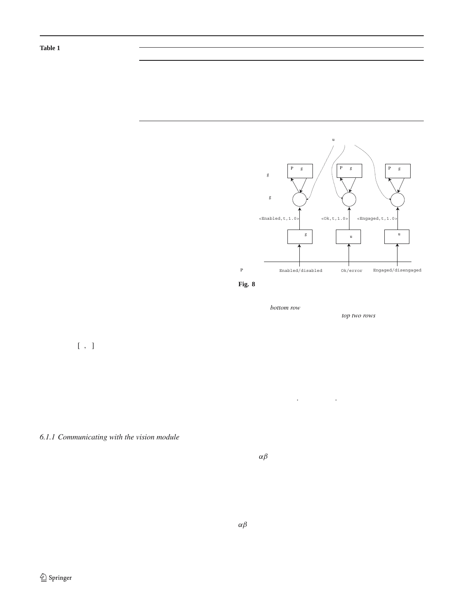<span id="page-7-0"></span>**Table 1** Four classes of asynchronous processes (behaviors) constitute the reactive module

| Class | Input    | Output   | Functional unit                                                                                                         |
|-------|----------|----------|-------------------------------------------------------------------------------------------------------------------------|
|       |          |          |                                                                                                                         |
|       | External | External | Behavior center (reßex actions)                                                                                         |
| 2     | External | Internal | Perception center (sensing)                                                                                             |
| 3     | Internal | External | Behavior center (motor commands)                                                                                        |
| 4     | Internal | Internal | Memory center (mental state maintenance)<br>Behavior center (high level behaviors)<br>Perception center (sensor fusion) |

perception center incorporates an attention mechanism that gathers information relevant to the current task, such as the status of the satellite chaser robot, the docking interface status, and the satelliteOs attitude control status. The perception center processes the raw perceptual readings that appear at inputs, constructs appropriate perceptual features, and store them in the working memory (memory center) for later use by the behavior center during action selection and behavior execution. A perceptual reading is either from an actual physical sensor (e.g., the docking interface sensor) or the result of a multi-stage operation (e.g., the target satelliteOs pos tion and orientation). Each perceptual reading is processe independently. Consequently, different perceptual features



become available to the reactive module as soon as they alphysical Sensors computed. Enabled/disabled Ok/error Engaged/disengaged

The perception center includes daemon processes for **Fig. 8** Daemon processes for monitoring and reading satellite attitude every perceptual input (Fig§, [9\)](#page-8-0). The daemon processes, that collect information from the sensors are associated with the percepwhich awaken whenever new information arrives at theintion center *bottom row*), whereas those that operate upon the working input ports, assign a conÞdence value to the readings, time<del>gemory belong to the memory center (*two rows*)</del> control, docking interface, and robotic arm status sensors. The daemons

tamp them, and push them up the perception pipeline for

subsequent processing. The conÞdence value for a reading is

in the range $[0, 1]$ , where 0 reßects a total lack of conÞdence

and 1 reßects absolute certainty. It is computed either by the of the vision sub-system. A decision about whether or not to associated daemon or by the process responsible for produ-accept a new pose reading from an active vision module is cing the perceptual reading in the Þrst place. For instance, made by thresholding the conÞdence value of the reading. the vision routines determine the conÞdence for the estimated by an estimating and confidence value for a medium ted position and orientation of the satellite and the daemon. The minimum acceptable communication and it is near responsible for the docking interface sensor assigns a value of communications and the sensor assigns and the expected performance chaof 1 to each new reading it receives from the sensor.

<span id="page-7-1"></span>racteristics of the vision system and are selected to impose more stringent performance requirements on the vision system when the robotic arm is in close proximity to the target satellite.

*6.1.1 Communicating with the vision module*

Figur[e9](#page-8-0) shows the interface to the vision sub-system. Long An  $\alpha\beta$  tracker validates and smoothes the pose readings range vision operates anywhere betw[ee](#page-19-29)n 20 and 5m, antobm the vision conÞgurations (Se&4 for details). The the maximum separation between the mock-up satellite andalidation is done by comparing the new pose against the robotic arm is roughly 6 m. To estimate the position and orien predicted pose using an adaptive gating mechanism. When tation of the satellite, the perception center uses contextualew readings from the vision system consistently fail the valiinformation, such as the current task, the predicted distancetation step, either the vision system is failing or the satellite from the target satellite, the operational ranges of the variouis behaving erratically and corrective steps are needed. The conÞgurations, and the conÞdence values returned by the tracker thus corroborates the estimates of the visual rouactive conÞgurations. The perception center is responsibtenes. In addition, it provides a straightforward mechanism for the transitions between the different vision conÞgurafor compensating for visual processing delays by predicting tions, and it also performs a sanity check on the operatiothe current position and orientation of the target satellite.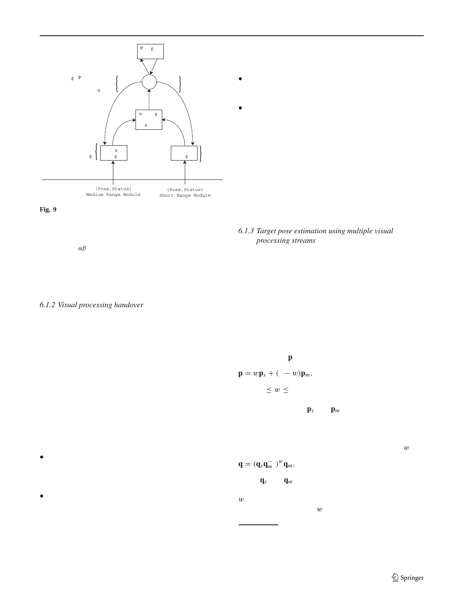

vision module is activated. The short range vision module uses the current pose of the satellite as estimated by the medium range module to initialize satellite tracking.

- A vision module that is currently tracking the target satellite should not be deactivated unless another vision module has successfully initiated target tracking.
- Avoid unnecessary hand-overs.

We describe the hand-over strategy between different vision modules in \$4. Figure 10 shows the operational status of the vision module during a typical satellite capture mission. Initially, the medium range vision module is tracking the target; however, as the robotic arm approaches the satellite and the distance to the satellite decreases below 2m, the short range module is activated. Once the short range vision module successfully locks onto the satellite and commences visual tracking, the medium range vision module is

<span id="page-8-0"></span>Fig. 9 The perception center is in charge of the vision system thatdeactivated to conserve energy. implements satellite identiÞcation, recognition, and tracking routines.

The deamon processes associated with the visual processing awakens when new vision readings become available and copy the new readings 1.3 Target pose estimation using multiple visual into the working memory. The vision readings are validated and smoothed using an $\alpha\beta$  tracker. A fuzzy logic based sensor fusion scheme

combines the readings when multiple vision conÞgurations are active combines the readings when malitiple vision compgurations are active to improve the quality of target pose estimates and to ensure<br>A passage-of-time behavior associated with the satellite pose informator improve the qualit tion implements a forgetting mechanism, which prevents the reactive mooth transition between different vision modules, we have system from using out-dated information implemented a fuzzy logic based sensor fusion scheme that

## *6.1.2 Visual processing handover*

combines pose estimates from active vision mod[ules](#page-19-29) [ The sensor fusion scheme takes into account target pose estimates along with their associated conÞdences and the operational ranges of the vision modules to compute a weigh-

In the Þnal stages of a successful satellite capture operation, et al. and the pose estimates from the active modules. the distance between the robotic arm and the target satellite urrently, it works only with short and medium range vision can vary anywhere from around 6D0 m. The perception cen-

ter is responsible for transitioning the visual tracking task from the medium to the short range module as the robotic The position**p** of the satellite is given by

arm approaches the target satellite and vice versa as it pu $\psi \equiv w \mathbf{p}_s + (1-w) \mathbf{p}_m$ , (1) back. The perception center uses the estimated distance of

the target satellite and the conÞdence values returned by til there  $0 \leq w \leq 1$  is the weight assigned to the short-range active vision conÞgurations to decide which vision module<sup>moduleOs estimate and which is determined by the fuzzy logic</sup> to activate/deactivate. based controller, and  $\mathbf{p}_m$  are the position estimates

The strategy for controlling the transition between medium or the short and medium range modules, respectively. Simiand short range vision modules is based on the followingarly, we combine the orientation estimates from the short and intuitions: medium range vision modules by expressing the orientation as quaternions and interpolating between them using

• Since the vision modules are designed to perform reliably only in their operational ranges, a vision module whose  $\mathbf{q} = (\mathbf{q}_s \mathbf{q}_m^{-1})$ estimate falls outside of its operational range should not be trusted.  $^{w}\mathbf{q}_{m}$ , (2) where**q***<sup>s</sup>* and**q***<sup>m</sup>* are the rotation estimates from the short

• When the estimates returned by the active vision module  $w$  is 0 the computed pose of the target is the medium range nears its operational limits, activate the more reliable estimate, whereas when is 1, it is the estimate returned vision module. The operational range of a vision module and medium range vision modules, respecti[vely](#page-19-29) [When

<span id="page-8-1"></span>and the estimated distance of the target satellite determines the suitability of the vision module. For example,  $\frac{3}{100}$  The long range vision module is used only initially to locate and identified the modium repeating the suitability of the vision module. For example,  $\frac$ when the medium range vision module is active and the kes over. At present, the long and medium range vision modules do target distance estimate is less than 2 m, the short ranget operate concurrently. the target is denoted, the medium range module. The target is identibed, the medium range module<br>mines the suitability of the vision module. For example, tify the target. Once the target is identibed, the medium range modu

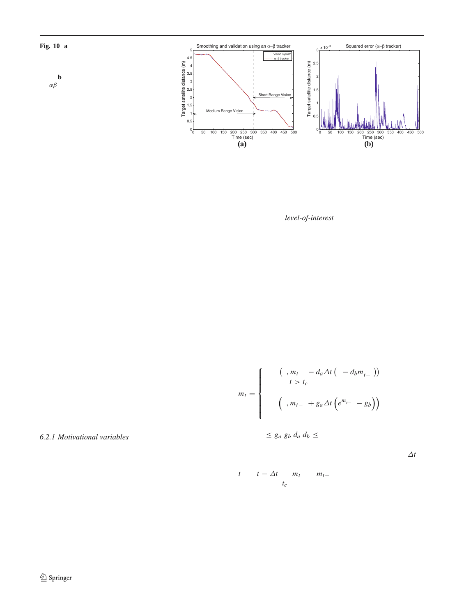<span id="page-9-0"></span>



by the short range module. The details of the sensor fusiofulPlled, the motivational variable begins to decrease asymp-module are provided in [34](#page-19-29)1. totically to zero<sup>4</sup>. A similar approach to action selection is

## 6.2 Behavior center

used by Tu 44 in her artibcial bsh and by Sha $\phi$  for his autonomous pedestrians. We model a*level-of-interest* to prevent one behavior from

The behavior center manages the reactive moduleÕs behaviod other behaviors while it inÞnitely pursues an unatral repertoire. This by no means a trivial task involves arbitra<sup>tainable</sup> goal \$]. A maximum cutoff time is speciÞed for tion among behaviors. The reactive module supports multipleach motivational variable and if, for whatever reason, the concurrent processes, and arbitrates between them so that pociated goal is not fulbiled within the prescribed cutoff the emergent behavior is the desired one. We have, howeme, the value of the motivational variable starts to decay ver, beneÞted from dividing the reactive module into thred<sup>o 0 (Fig[.11\)](#page-10-0).</sup> We also employ a Minsky/Ludlow [9] model components (perception, behavior, and memory), minimi<sup>of</sup> mutual inhibition to avoid behavior dither; a situation zing behavior-interaction across the components, thus sim<sup>y here</sup> the action selection keeps alternating between two plifying the management of behaviors. goals without ever satisfying either of them. Mutual inhi-

At each instant, the action selection mechanism choosestion is implemented by specifying a minimum duration for an appropriate high level behavior by taking into account<sup>which</sup> a behavior must remain active and by initially increathe current state of the world and the motivations. The cho<sup>sing the value of the associated motivation variable (F2).</sup> sen action then activates lower level supporting behaviors, as necessary. The current state of the world takes precedentellows: The values of the motivational variables are calculated as

over the motivations, i.e., the reactive module will follow the advice from the deliberative module only when the conditions are favorable. When no motivation is available from the deliberative module, the action selection mechanism simpl $y^{i}$ <sup>t</sup> chooses a behavior that is the most relevant, usually one that ensures the safety of the agent.

$$
\begin{cases}\n\max(0, m_{t-1} - d_a \Delta t \left(1 - d_b m_{t-1}^2\right)) \\
\text{when } t > t_c \text{ or the associated behavior} \\
\text{achieves its goal,} \\
\min\left(1, m_{t-1} + g_a \Delta t \left(e^{m_{t-1}^2} - g_b\right)\right) \\
\text{when the associated behavior is Prst initiated,}\n\end{cases}
$$

## *6.2.1 Motivational variables*

<span id="page-9-2"></span><span id="page-9-1"></span>where  $0 \leq g_a$ , $g_b$ , $d_a$ , $d_b \leq 1$  are the coef Dcients that control the rate of change in the motivational variables, which are set

The behavior controller maintains a set of internal menta<sup>empirically to 0.5, 0.99, 0.05, and 0.99, respecti[ve](#page-9-2)lyt is</sup> state variables, which encode the motivations of the robo<sup>the time step. The values of a motivational variable at time</sup> tic arm: (1) search, (2) monitor, (3) approach, (4) align, *t* and*t* − ∆*t* are*mt* and*mt*−1, respectively. The associated (5) contact, (6) depart, (7) park, (8) switch, (9) latch, (10) cutoff time is*tc*. The cutoff time for a particular motivation sensor, and (11) attitude control. The mental state variables

take on values between 0 and 1, and at each instant the action

selection mechanism selects the behavior associated with lhis is consistent with the Odrive reduction theoryÓ proposed by the motivational variable having the highest value. Priority Hull [\[22](#page-19-31)], whose central theme is that drive (motivation) is essential<br>the motivational variable having the highest value. Priority in order for a respecte occur among the different motivations resolves behavior selections for reduce (or satisfy) the most pressing drive. in order for a response to occur; furthermore, a response is chosen so

conßicts when multiple motivations have the same magnis <sub>In a more general setting the values of the coefÞcients can be chosen</sub> tudes. Once the goal associated with a motivational variable ion a per-motivation basis.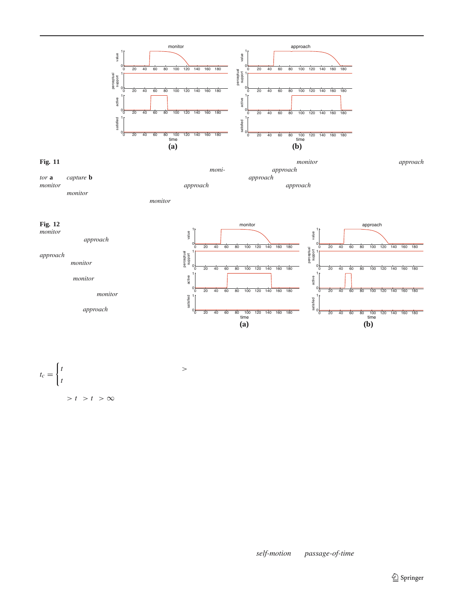

<span id="page-10-0"></span>The deliberative module sets the value of motivational variables*monitor* behavior, which has a higher priority than the *proach* behaprescribed time, the motivational variable *nitor* begins to decay to 0.

**Fig. 11** Priority among motivations and level-of-interest modeling. When the value of the*monitor* variable is less than that of the*approach tor* **a** and*capture* **b** to 1. The action selection mechanism selects the the *approach* behavior did not meet its objectives within the prescrivior. The *monitor* behavior fails to achieve its objectives within the the decay in the motivational variables is due to the level-of-interest variable, the*approach* behavior is activated. In this particular scenario, bed time and the*approach* variable decreases to zero. In either case, modeling

<span id="page-10-1"></span>

depends upon two factors: the motivation in question ando minimize the internal motivational variables by activawhether or not other motivational variables are greater than ding appropriate behaviors. The system operates at a dimini-

$$
t_c = \begin{cases} t_1 & \text{when other motivational variables, 0} \\ t_2 & \text{otherwise,} \end{cases}
$$

shed capacity when higher level modules are disabled. Built into the reactive module is a provision for overriding the action selection mechanism during a teleoperated mission; i.e., when the system is being controlled by an astronaut.

where  $0 > t_1 > t_2 > \infty$ .

The higher-level deliberative module suggests an actio6.3 Memory center to the reactive module by setting the relevant motivational

variable(s) to 1 or 0. Any parameters associated with the memory center manages the short-term memory of the suggested action are passed directly to the behavior linked tagent. It holds the relevant sensory information, motivations, the motivational variable. It is up to the reactive module tostate of the behavior controller, and the abstracted world state. decide whether or when to execute the suggested action byt each instant, it copies whatever new sensory information activating the associated behavior. Furthermore, the reactive available at the perception center, and it provides a convemodule is not responsible for communicating its decision onient way of handling perception delays. At any moment, status to the deliberative module. The plan execution anthe memory center has a time-delayed version of the sensory monitoring module determines whether or not the suggested formation, and it projects this information to the current action was ever executed or that it failed or succeeded throughstant. Thus, the behavior center need not wait for new senthe abstracted world state  $(Fi\alpha)$ . sory information; it can simply use the information stored

A consequence of the design proposed here is that the memory center, which is responsible for ensuring that the behavior-based reactive module is oblivious to the existhis information is valid.

tence of the deliberative and plan execution and monito-The memory center uses two behavior routines (per fearing modules. The sole agenda of the reactive module isure),*self-motion* and*passage-of-time*, to ensure the currency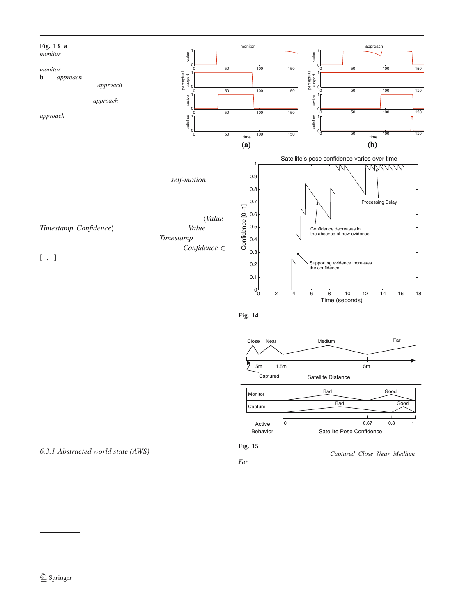time

0 50 100 150

0 50 100 150

approach

0 50 100 150

0 50 100 150

<span id="page-11-0"></span>

and coherence of the information. The robot sees its environment egocentrically. External objects change their position with respect to the agent as it moves. The *motion* behavior routine constantly updates the internal world representation to reßect the current position, heading, and speed of the robot.  $\overline{d}$ 

Confidence [0−1] Each perceptual feature is represented as a tuplee, Confidence *Timestamp, Confidence*) in the working memor*Walue* represents the present value of the feature *stamp* stores the time at which the feature was generated, and *fidence* ∈ [0, 1] is the current conÞdence value of the feature. In the absence of new readings from the perception center, the confdence in the world state should decrease with time (F4g. How the conÞdence in a particular feature decreases depen on the feature (e.g., the conÞdence in the position of a dynamic object decreases more rapidly than that of a static object) mation<sup>6</sup>

The ability to forget outdated sensory information is critical to the overall operation of the reactive module, providing a straightforward mechanism to prevent it or the deliberative module from operating upon inaccurate, or worse, incorrect information, and can be used to detect sensor failures. The conÞdence value for a perceptual feature tends to zerin the absence of fresh information from the relevant sensor. The lack of new information from a sensor can be construed as a malfunctioning sensor, particularly for sensors, such a the docking interface status sensor, that periodically send ney information to the perception center.

## *6.3.1 Abstracted world state (AWS)*



active satisfied active support value perceptual support

satisfied

 $\mathsf{C}$ 1

 $\mathsf{C}$ 1

ralue

 $\mathsf{C}$ 1

 $\mathbf{C}$ 1

**(a) (b)**



and the penalty associated with acting on the wrong inforFig. 14 The conÞdence in the satelliteÕs pose decreases in the absence of supporting evidence from the vision system

<span id="page-11-1"></span>

<span id="page-11-3"></span>

The reactive module requires detailed sensory information, ymbols takes into account the current state of the agent whereas the deliberative module employs abstract informa-

tion about the world. The memory center Þiters out unneabout the world. The memory senter Pricits out anne multi-valued representation of an underlying continuous<br>cessary details from the sensory information and generates the abstracted world state which expresses the world sym-

0 50 100 150

0 50 100 150

monitor

satisfied 0 50 100 150

0 50 <sub>time</sub> 100 150

time

0 1 active

0 1

0 1 perceptual support

value

0 1

bolically (Fig. [15\)](#page-11-3). The abstracted world state is a discrete, Discretization involves dividing a continuous variable into ranges of values and assigning the same discrete value to all

<span id="page-11-2"></span> $\overline{6}$  Decreasing conÞdence values over time is motivated by the decay values of the continuous variable that fall within a certain Location grow and control range over the constraint by the acception and ange. Discretization, however, is not without its problems. Peterson in 1959821. When the value of the continuous variable hovers about a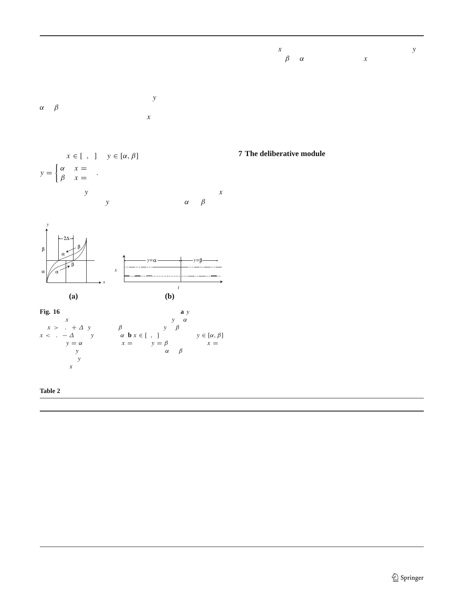discretization boundary, the discretized value can switch backhe value ofx is consistently 1. Similarly, the value of is and forth between adjacent discrete values, which can po<del>sa</del>vitched fromβ to  $\alpha$  when the value of stays at 0. a challenge for a process that relies on the stability of a dis-Using the above scheme, we convert continuous sensory crete variable. We address this problem by imitating hysteinformation, such as the estimated distance from the satellite resis during the discretization operation. We illustrate ourand the estimated speed of the satellite, as well as binary strategy in Fi[g.16a](#page-12-1), where variable resists a change from values, such as the status of the latch, to appropriate ßuents  $\alpha$  to  $\beta$  and vice-versa; thereby, avoiding alternating betweeɾhat comprise the abstracted world state. The list of ßuents is the two values when the value of *f* suctuates about 0.5. A provided in Table.

related approach is taken when converting binary (or discrete multi-valued) sensory information to binary (or multivalued) ßuents. Consider, for example, mapping a binary variable $x \in [0, 1]$  to  $y \in [\alpha, \beta]$ ,

$$
y = \begin{cases} \alpha & \text{if } x = 0 \\ \beta & \text{if } x = 1 \end{cases}.
$$

The value of*y* does not faithfully follow the value of*x*. Rather, the value of is only switched from to  $\beta$  when



<span id="page-12-1"></span>**Fig. 16** Emulating hysteresis during discretization is a discretization of *x* that takes values between 0 and 1 $\nu$  lis  $\alpha$  and the value of  $x > 0.5 + \Delta$ , *y* becomes β. Otherwise, if *y* is  $\beta$  and the value of  $x < 0.5 - \Delta$ , then *y* becomes  $x \in [0, 1]$  is mapped to  $y \in [\alpha, \beta]$ . The state $y = \alpha$  indicates that  $x = 0$  and  $y = \beta$  indicates that  $x = 1$ . The variabley resists changing its value from to  $\beta$  and vice-versa, which allows*y* to exhibit more stable behavior by ignoring spurious changes in*x*

**Table 2** The abstracted world state for the satellite servicing task

#### <span id="page-12-0"></span>**7 The deliberative module**

The deliberative module endows our agent with the ability to plan its actions, so that it can accomplish high-level tasks that are too difÞcult to carry out without Òthinking ahead.Ó To this end, the deliberative module maintains a set of planners, each with its own knowledge base and planning strategy. Generally, the world behaves much more predictably at higher levels of abstraction. Hence, each planner understands the world at an abstract level, which makes reasoning tractable, as opposed to ill-conceived attempts to formulate plans in the presence of myriad low-level details. The lowest level of abstraction for a particular planner is determined by the reactive module explicitly through the abstracted world state and implicitly through the behaviors that it implements. The latter constitute the basis (grounded actions) of the plans generated by the deliberative module. For any application, it is essential to choose the right level of abstraction (Table).

Symbolic logic provides the right level of abstraction for developing high level planners that elegantly express abstract ideas. We advocate using a high-level agent language, such as GOLOG<sup>[6]</sup>, to develop planners for the deliberative

<span id="page-12-2"></span>

| Fluents/arity | Values                  | Description                                                            |
|---------------|-------------------------|------------------------------------------------------------------------|
| fStatus/1     | On/off                  | Status of the servicer                                                 |
| fSatPosConf/1 | Yes/no                  | Conbdence in the estimated pose of the satellite                       |
| fSatPos/1     | Near/medium/far/contact | Distance from the satellite                                            |
| fSatSpeed/1   | Yes/no                  | Whether the satelliteOs relative speed is within the acceptable limits |
| fLatch/1      | Unarmed/armed           | Status of the latch (docking interface)                                |
| fSatCenter/1  | Yes/no                  | Whether the satellite is in the center of the beld of view             |
| fSatAlign/1   | Yes/no                  | Whether servicer is aligned with docking interface of the satellite    |
| fSensor/2     | Short/medium, on/off    | Current con puration of the vision system                              |
| fError/1      | Sensor/shadow/any/no    | Error status                                                           |
| fSatContact/1 | False/true              | Whether satellite is already docked                                    |
| fSatAttCtrl/1 | On/off                  | Whether or not the satelliteOs attitude control is active              |
| fSun/1        | Front/behind            | Location of the Sun relative to the servicer                           |
| fRange/1      | Near/far                | Distance from the satellite                                            |

The choice of ßuents describing the abstracted world state depends upon the target application

 $\mathcal{D}$  Springer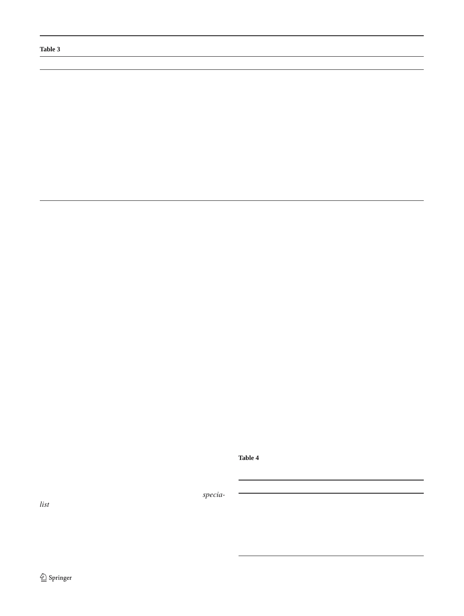<span id="page-13-0"></span>

| Actions/#args      | Arguments <sub>O</sub> values               | Description                                                                                                                                                                  |
|--------------------|---------------------------------------------|------------------------------------------------------------------------------------------------------------------------------------------------------------------------------|
| aTurnon/1          | On/off                                      | Turns on the servicer                                                                                                                                                        |
| aLatch/1           | Arm/disarm                                  | Enables/disables the latching mechanism                                                                                                                                      |
| aErrorHandle/1     |                                             | Informs the operator of an error condition                                                                                                                                   |
| aSensor/2          | Medium/near, On/off                         | Con <i>Paures</i> the vision system                                                                                                                                          |
| aSearch/1          | Medium/near                                 | Initiates medium/short visual search sequence                                                                                                                                |
| aMonitor/0         |                                             | Initiates monitor phase                                                                                                                                                      |
| aAlign/0           |                                             | Initiates align phase                                                                                                                                                        |
| aContact/0         |                                             | Moves in to make contact                                                                                                                                                     |
| aGo/3              | Park/medium/near, Park/medium/near, Vis/mem | Moves to a particular location using either current infor-<br>mation from the vision system (if vision system is working<br>satisfactorily) or relying upon the mental state |
| aSatAttCtrl/1      | Off/on                                      | Asks ground station to turn off the satellite attitude control                                                                                                               |
| aCorrectSatSpeed/0 |                                             | Informs the operator that the satellite is behaving erratically                                                                                                              |

**Table 3** Primitive actions available to the planner that creates plans to accomplish the goal of safely capturing the target satellite

module. Consequently, the deliberative module compriseand [4,](#page-13-1) respectively. The planners experience the world high-level, non-deterministic GOLOG programs whose exethrough the ßuents (AWS) listed in Table

cution produce the plans for accomplishing the task at hand. On receiving a request from the plan execution and moni-GOLOG is a logic programming language for dynamictoring module, the deliberative module selects an appropriate domains with built-in primitives (Buents) to maintain an planner, updates the plannerOs world model using the abstracexplicit representation of the modeled world, on the basised world state, and activates the planner. The planner comof user supplied domain knowledge. The domain knowledgoutes a plan, which is a sequence of zero (when the planner consists of what actions an agent can perform (primitivecannot come up with a plan) or more actions, to the delibeaction predicates), when these actions are valid (preconditionative module, which then forwards it to the plan execution predicates), and how these actions affect the world (succeand monitoring module. Each action of an executable plan sor state predicates). GOLOG provides high level constructs ontains execution instructions, such as which motivational such as if-then-else and non-deterministic choice, to specifyariables to use, and speciÞes its preconditions and postconcomplex procedures that model an agent and its envirorditions.

ment. A GOLOG program can reason about the state of the

world and consider various possible courses of action before 1 Scene interpretation

committing to a particular choice, in effect performing deli-

beration. The GOLOG language has been shown to be wetthe cognitive vision system monitors the progress of the suited to applications in high-level control of robotic sys-current task by examining the AWS, which is maintained tems, industrial processes, software agents, etc. An advanta@ereal-time by the perception and memory module. Upon of GOLOG over traditional programming languages like C encountering an undesirable situation, the reasoning module is that programs can be written at a much higher level ofries to explain it by constructing an interpretation. If the abstraction. GOLOG is based on a formal theory of actioneasoning module successfully Þnds a suitable interpretation, speciÞed in an extended version of the situation calc $6\%$ s [ so GOLOG programs can be veriÞed using theorem proving it suggests appropriate corrective steps; otherwise, it suggests

<span id="page-13-1"></span>techniques. A prototype GOLOG interpreter for SWI-Prolog **Table 4** Primitive actions available to the planner that constructs abs-[\[1](#page-19-35)] is presented in [4]. We treat GOLOG programs as plan- tract, high-level interpretations of the scene by explaining how the AWS ners; hence, in the remainder of this paper we will use the evolving

term planner and GOLOG program interchangeably. The symbolic reasoning module comprises twecia*list* planners. Planner A is responsible for generating plans and aBadCamera/0 Camera failure to achieve the goal of capturing the target satellite. Plan<sup>2</sup>SelfShadow/0 ner B attempts to explain the changes in abstracted worla<sup>Glare/0</sup> state. It effectively produces high level explanations of what Sun/1 might have happened in the scene (workspace). The primitiv<sup>aRange/1</sup> actions avail[abl](#page-13-0)e to the two planners are listed in Tables Actions/#args ArgumentsÕ values Description Self-shadowing phenomenon Solar glare phenomenon Front/behind The relative position of the Sun Near/medium Distance from the satellite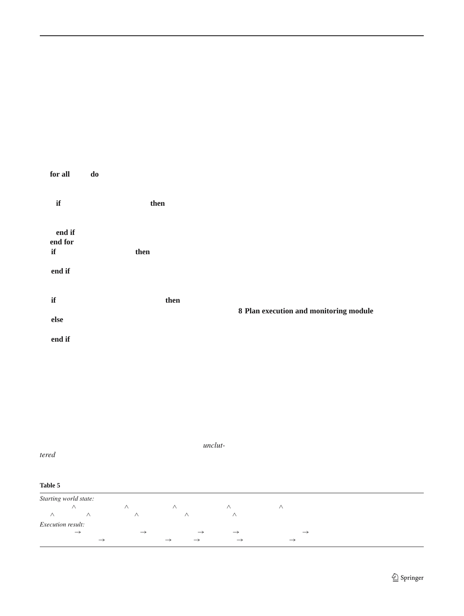the default procedure for handling anomalous situations. The managed. Therefore, our framework appears to be useful for default error handling procedure for our application, like all vision-based robotic systems for AR&D. space missions, is to safely abort the mission, i.e., to bring

the robotic manipulator to its rest position while avoiding 7.2 Cooperation between active planners collisions with the target satellite. The procedure for Þnding

explanations is as follows:

The planners cooperate to achieve the goalÑsafely capturing the satellite. The two planners interact through a plan

activated when the plan execution and monitoring module

state to the current ÒbadÓ world state. Next, it determines the most likely cause for the current fault by considering each plan in turn. After identifying the cause, Planner B suggests corrections. In the current prototype. Possible corrections consist of Òabort mission,Ó Òretry immediately,Ó and Òretry after a random interval of timeÓ (the task is aborted if the total time exceeds the maximum allowed time). Finally, after

- 1: Construct plans that account for the current error condiexecution and monitoring unit to avoid undesirable interactions by using the knowledge encoded within the errortions. Upon receiving a new Òsatellite capture taskÓ from the model. ground station, the plan execution and monitoring module
- 2: Sort these plans in ascending order according to theiactivates Planner A, which generates a plan that transforms length. (We disregard the default plan, which usually hashe current state of the world to the goal stateÑa state where a length of 1.) the satellite is secured. Planner B, on the other hand, is only
- 3: **for all** Plans**do**
- 4: Simulate plan execution; this consists of querying thedetects a problem, such as a sensor failure. Planner B geneperception and memory unit or asking the operator. rates all plans that will transform the last known ÒgoodÓ world
- 5: **if** The execution is successfullen
- 6: The current plan is the most likely explanation.
- 7: Break
- 8: **end if**
- 9: **end for**
- 10: **if** No explanation is foundhen
- 11: The default plan is the most likely explanation.
- 12: **end if**
- 13: Generate a solution based on the current explanation; th(Table[s5,](#page-14-1) [6\)](#page-15-0). requires another round of reasoning. the successful handling of the situation, Planner A resumes
- 14: **if** The solution corrects the problethen
- 15: Continue doing the current task.

# 16: **else**

17: Abort the current task and request user assistance. 18: **end if**

## <span id="page-14-0"></span>**8 Plan execution and monitoring module**

The Plan Execution and Monitoring (PEM) module interfaces the deliberative and reactive modules. It initiates the planning activity in the deliberative module when the user has

A fundamental limitation of the proposed scene interpre<sub>Tequested the agent to perform some task, when the current</sub> tation strategy is that it requires a detailed error modelÑi.e., plan execution has failed, when the reactive module is stuck, a knowledge base of what might go wrong and howÑand or when it encounters a non-grounded action that requires for a general scene it might be infeasible to acquire thisurther elaboration. The execution is controlled through preknowledge. Space missions, however, can beneÞt from the nditions and postconditions speciÞed by the planÕs actions. approach, since they are usually studied in detail for month $\pi_{Oget}$ her, these conditions encode plan execution control and sometimes, years by a team of engineers and sciernowledge. At each instant, active actions that have either tists who run through all the foreseeable scenarios. Indee $\phi$ et or failed their postconditions are deactivated, then unon-orbit missions are carefully planned and highly scripte $d$ executed actions whose preconditions are satisÞed are activaactivities. Furthermore, they generally take place *inlut*tered environments, so the number of possible events can bonstitute the plan execution control knowledge. ted (Fig[.17\)](#page-15-1). Together the preconditions and postconditions

**Table 5** A linear plan generated by the GOLOG program to capture the target

<span id="page-14-1"></span>*Starting world state:*

fStatus(off)∧ fLatch(unarmed)∧ fSensor(all,off)∧ fSatPos(medium)∧ fSatPosConf(no)∧ fSatCenter(no)

∧ fAlign(no) ∧ fSatAttCtrl(on)∧ fSatContact(no)∧ fSatSpeed(yes)∧ fError(no)

*Execution result:*

aTurnon(on)→ aSensor(medium,on+> aSearch(medium+> aMonitor-> aGo(medium,near,vis+> aSensor(short,on)→ aSensor(medium,off)→ aAlign → aLatch(arm)→ aSatAttCtrl(off)→ aContact

The GOLOG program is provided [in \[](#page-19-29)8]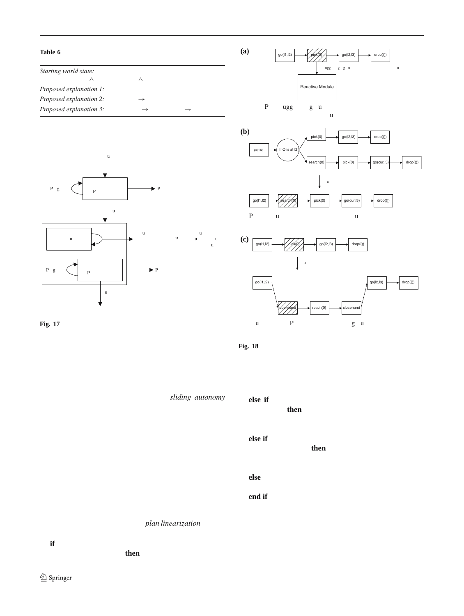<span id="page-15-0"></span>

<span id="page-15-1"></span>

<span id="page-15-2"></span>action as a linear plan

execution/postcondition-check loop, wherein it activates the currentrig. 18 PEM module executing linear, conditional, and hierarchical actionÕs execution code until the postconditions either succeed or fallans

Upon success, it proceeds to the next action

The PEM module can handle linear, conditional, and hie-2. rarchical plans; thereby, facilitating theiding autonomy capability of the overall controller (Fig.8). Plans constructed by the deliberative module have a linear structure. Every. action of the plan is directly executable on the reactive module, and each action must succeed for the plan to achieve else if Current action is Ònon-groundedÓ (i.e., it requires its objectives. Scripts uploaded by human operators usually have a conditional/hierarchical structure. For conditional<sub>6</sub>. plans, it is not sufÞcient to execute each action in turn, rather the outcome of an action determines which of the remaining 7: **else** actions to execute next. On the other hand, in hierarchical. plans some actions acts as macros that represent other plansend if that have to be computed at runtime. The plan execution and monitoring module handles linear, conditional, and hierarchical plans through the following*plan linearization* process (Fig. [18\)](#page-15-2):

Send to the reactive module.

- 3: **else if** Current action is ÒconditionalÓ (e.g., a sensing action, etc.)**then**
	- Evaluate condition and pick the next action based on the outcome.

further elaboration)hen

Perform elaboration and replace the hierarchical action with the outcome (plan stitching).

Unknown action type. Plan execution failure.

The PEM module can execute multiple actions concurrently; however, it assumes that the plan execution control knowledge for these plans will prevent race conditions, dead-

1: **if** Current action is OgroundedO (i.e., directly executablecks, and any undesirable side affects of concurrent execuon the reactive modulahen tion.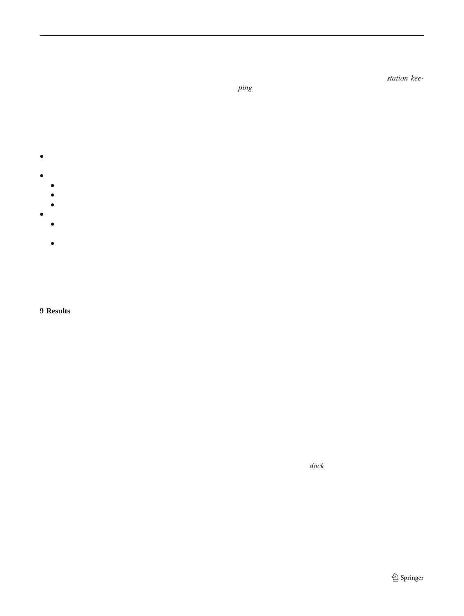#### 8.1 Plan execution control knowledge

vision module to conserve power once the medium range system is fully initialized and reliably tracking the satellite.

The PEM relies upon execution control knowledge to pro-Next, the robotic is arm tries to match the satelliteÖs linear perly execute a plan. Execution control knowledge is deÞnednd angular velocities, a procedure knownsasion keeover the abstracted world state, and it consists of conditionsing. Then, short-range vision processing is initiated, and a that must hold before, during, or after an action (or a plan)message is sent to the ground station to turn off the satel-Some of these conditions span the entire plan while otherote attitude control system. The robotic arm should not are action-dependent. Together these conditions answer tbapture a satellite whose attitude control system is functiofollowing questions that are vital for the correct executionning, as that might destroy the satellite, the robotic arm, or of a plan: both. When the attitude control system is inactive, the satel-

- Plan validity (a plan might become irrelevant due to someelying upon the short-range vision system. Upon receiving occurrence in the world). lite begins to drift; however, the robotic arm follows it by
- Action execution start time.
	- Now.
	- Later.
	- Never; the plan has failed.
- Action execution stop time.
	- Now; the action has either successfully completed owision system failure and/or hardware failures. The cognitive failed.
	- Later; the action is progressing satisfactorily.

a conÞrmation from the ground station that the satelliteÕs attitude control system is off, the robotic arm moves in to make contact.

We performed 800 test runs in the simulated environment and over 25 test runs on the physical robots. For each run, we randomly created error conditions (see T[ab](#page-17-1)leuch as a

vision controller gracefully handled all of them and met its requirements; i.e., safely capturing the satellite using visionbased sensing (Fig. shows example sensed images) while

For our application, the plan execution control knowledgehandling anomalous situations. The controller never jeoparis readily available in the form of precondition action axiomsdized its own safety nor that of the target satellite. In most and successor state axioms. cases, it was able to guide the vision system to re-acquire

the satellite by identifying the cause and initiating a suitable search pattern. In situations where it could not resolve the error, it safely parked the manipulator and informed the ground station of its failure.

#### <span id="page-16-0"></span>**9 Results**

We have developed and tested the CoCo AR&D system in Figure [19](#page-17-2) shows a satellite capture sequence in the lab, a simulated virtual environment, as well as in a physical labwhere the servicer was able to capture the satellite without environment at MDA Space Missions, Ltd., that faithfully incident.

reproduces on-orbit movements and the illumination condi- During the capture sequence shown in Eig.we simulations of the space environmentÑstrong light source, veryted a vision system failure. The servicer gracefully handled little ambient light, and harsh shadows. The physical setuthe error by relying upon its cognitive abilities and successconsisted of the MD Robotics, Ltd., proprietary OReuseableully captured the satellite. When there is an error, such as Space Vehicle Payload Handling Simulator, O comprising twa vision system failure, the reactive system responds imme-Fanuc robotic manipulators and the associated control sofdiately and tries to increase its separation from the satellite. ware. One robot with the camera stereo pair mounted on its the absence any new perceptual information, the system end effector acts as the servicer. The other robot carries relies upon its time-aware and context-sensitive mental state. grapple-Þxture-equipped satellite mock-up and synthesizedeanwhile, the deliberation module is using its knowledge realistic satellite motion. base to explain the error and suggest a recovery.

The capture procedure is initiated by a single high-level Figur[e21](#page-18-0) shows a simulated satellite rendezvous sequecommand from the ground station. Upon receiving the comnce. Upon receiving *dock* command from the ground stamand, the system initializes the long-range vision moduldion, the servicer initiates a visual search behavior, which to commence a visual search procedure. Once the satellipeints the cameras towards the incoming satellite [\(Fi](#page-18-0)g,b). is found, and its identity conÞrmed, the system guides th**©**nce the satelliteÖs identity is conÞrmed, the servicer begins robotic arm to move closer to the satellite. The performanceo approach it (Fig21c). Initially, the servicer only has inforof the long-range vision module deteriorates as the separanation about the position of the satellite; however, as it tion between the robotic arm and the satellite decreases dapproaches the satellite, it activates the medium vision to the fact that the cameras are mounted on top of the endhodule. The medium range vision processing estimates effector. In response, the cognitive vision system turns on ththe orientation of the satellite. The servicer aligns itself with medium range vision module and it turns off the long-range he grapple Þxture of the satellite, following an arc around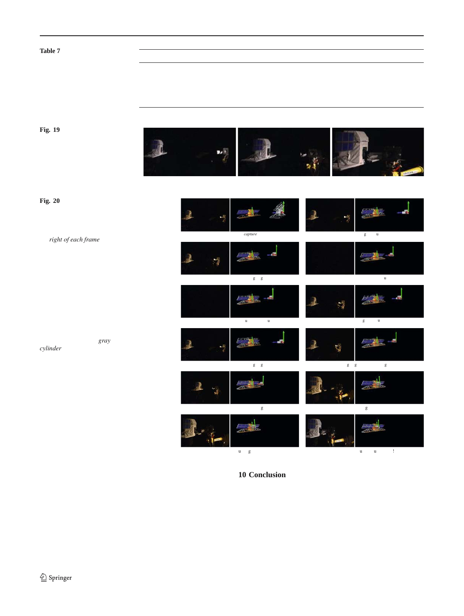<span id="page-17-1"></span>**Table 7** CoCo handled these error conditions that were randomly generated during various test runs

Vision system errors **Hardware errors Hardware errors** 

Failed transition between vision modules

Camera failure Grapple Discover and Camera failure Communication of the Grapple Discover and Grapple Discover and Grapple Discover and Grapple Discover and Grapple Discover and Grapple Discover and Grapple Discover and Gra Self shadowing **Self shadowing**  $\sim$  3.5 and 3.5 and 3.5 and 3.5 and 3.6 and 3.6 and 3.6 and 3.7 and 3.7 and 3.7 and 3.7 and 3.7 and 3.7 and 3.7 and 3.7 and 3.7 and 3.7 and 3.7 and 3.7 and 3.7 and 3.7 and 3.7 and 3.7 and 3 Solar glare SatelliteÕs attitude control error

<span id="page-17-2"></span>**Fig. 19** The servicer robot captures the satellite using vision in harsh lighting conditions like those in orbit

<span id="page-17-3"></span>**Fig. 20** Despite a simulated vision system failure, the servicer robot captures the satellite using vision by making use of its cognitive abilities. On the*right of each frame*, we show the view from the simulation environment that runs the controller code. The simulation environment communicates with the physical robots over the network. Here, the wireframe represents the position of the satellite as estimated by the robotic arm. The 3D model of the satellite represents the actual position of the satellite according to the sensors on the Fanuc robot arm. The*gray cylinder* represents the position of the chaser robot end-effector according to the telemetery information. Note that the estimated position is maintained in the absence new perceptual information (Frames 3 and 4). A vision failure was induced by shutting off the ambient light



(Frame 1) Recieved a*upture* command. (Frame 2) Tart acquired (Frame 3) Approachintanet. (Frame 4)Vision system fails (Frame 5) Safety manuever: departure. (Frame 6) Target re-aquired. t, (Frame 7) Approachintarget. (Frame 8) Aligning with the docking interface. (Frame 9) Station keepin example and the state of the HT (Frame 10) Moving in to make contact.

<span id="page-17-0"></span>

(Frame 11) Accounting for satellite drift. (Frame 12) Subcessful contact

the satellite to avoid the delicate solar panels (EigHDf). The servicer initiates stationkeeping, where it matches **10 Conclusion**

the position and orientation of the satellite (Figig). At this stage, the servicerOs view is limited to the grapple Þxepplications of vision will require more than just image anature mounted on the satellite, as the cameras are mountedis. They will also need a high-level AI component to guide on the docking mechanism of the servicer. Therefore, thehe vision system in a deliberate, task-appropriate manner, servicer activates the short range vision module. Finally, ito diagnose sensing problems, and to take corrective actions. moves towards the satellite to make contact and capture Tthe AI system must rely on a low-level reactive component (Fig. [21h](#page-18-0)). Like the earliest machine vision system<sup>31</sup>, [36], future responsible for sensorimotor control.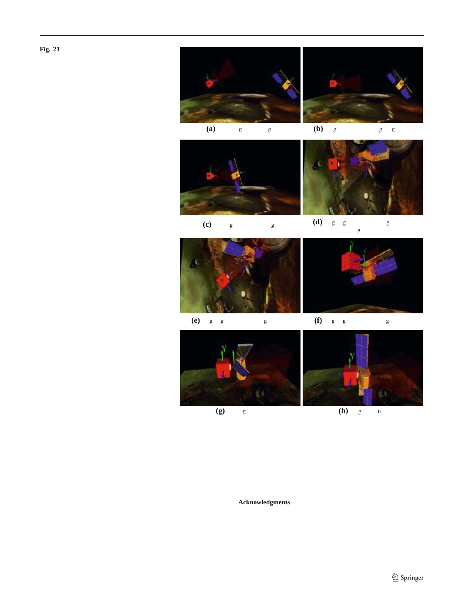<span id="page-18-0"></span>**Fig. 21** Satellite rendezvous simulation









**(a)** Searching for the taget. **(b)** Target identibed; Long range vision.



**(c)** Moving towards the taget. **(d)** Ali gning with the docking interface while avoiding the solar panels.



(e) Ali gning with the docking interface. **(f)** Ali gning with the docking interface.





**(g)** Making contact. **(h)** Target captured.

We have demonstrated such a system in the domain chivironment that emulates the relevant real-world conditions, space robotics, speciÞcally in the context of on-orbit satellitevhen prompted by a single high-level command our system autonomous rendezvous and docking. Our practical visionsuccessfully captured the target satellite while dealing with based robotic system interfaces object recognition and anomalous situations.

tracking with classical, logic-based AI through a behaviorbased perception and memory unit. Using its reactive sensecknowledgments The authors acknowledge the valuable technical rimotor and deliberative reasoning abilities, it successfully contributions of P. Jasiobedzki, R. Gillett, H.K. Ng, S. Greene, J. Richperforms the complex task of autonomously capturing a freeming, in Secondary, and in the main the neutries model orbiting satellite in harsh illumination conditions. In most of Associates. We thank L. Gregoris for motivation, encouragement, and our simulation tests as well as in a commercial robotic lab<sup>support.</sup> mond, M. Greenspan, M. Liu, and A. Chan. This work was funded by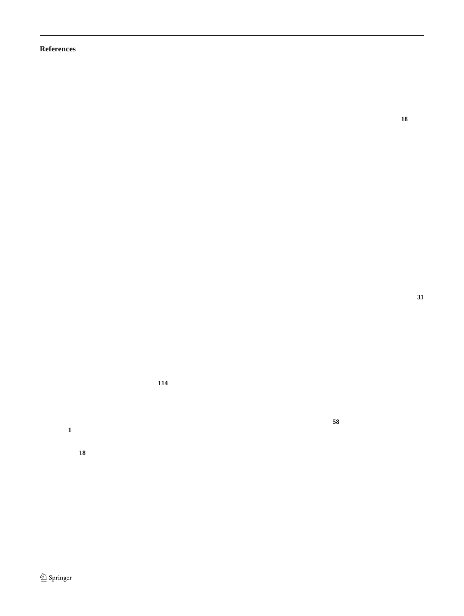#### **References**

- <span id="page-19-35"></span>1. Swi-prolog. http://www.swi-prolog.org/
- <span id="page-19-11"></span>2. Agre, P., Chapman, D.: Pengi: an implementation of a theory of activity. In: Proceedings of American Association of ArtiÞcial Intelligence, San Mateo, CA. Morgan Kaufmann (1987)
- <span id="page-19-17"></span>3. Arens, M., Nagel, H.H.: Behavioral knowledge representation for the understanding and creation of video sequences. In: Gunther20. Howarth, R.J., Buxton, H.: Conceptual descriptions from monito-A., Kruse, R., Neumann, B. (eds), Proceedings of the 26th German Conference on ArtiÞcial Intelligence (KI-2003), pp. 149Ð 163, Hamburg, Germany (15Ð18 September 2003)
- <span id="page-19-19"></span>4. Arens, M., Ottlik, A., Nagel, H.-H.: Natural language texts for a cognitive vision system. In: van Harmelen, F. (ed), Proceedings of 22. Hull, C.: Principles of behavior. AppletonÐCenturyÐCrofts, New the 15th European Conference on ArtiÞcial Intelligence (ECAI-2002), pp. 455Đ459, Amsterdam, The Netherlands. IOS Pres $$3.$  Jasiobedzki, P., Greenspan, M., Roth, G.: Pose determination and (21Ð26 July 2002)
- <span id="page-19-9"></span>5. Arkin, R.C.: AuRA: a hybrid reactive/hierarchical robot architecture. In: Proceedings of the IEEE International Conference on Robotics and Automation, Workshop on Architecture for Intelligent Control Systems, 1992
- <span id="page-19-21"></span>6. Arkin, R.C., Riseman, E.M., Hanson, A.R.: ArRA: An architecture for vision-based robot navigation. In: Proceedings of the DARPA Image Understanding Workshop, Los Angeles, CA (1987)
- <span id="page-19-8"></span>7. Arkin, R.C., Fujita, M., Takagi, T., Hasegawa, R.: Ethological 25. Jenkin, M., Bains, N., Bruce, J., Campbell, T., Down, B., modeling and architecture for an entertainment robot. In: Proceedings of the 2001 IEEE International Conference on Robotics and Automation (ICRA 2001), pp. 453Ð458, Seoul, South Korea. IEEE, (2001)
- <span id="page-19-22"></span>8. Blumberg, B.M.: Action selection in hamsterdam: lessons from ethology. In: Proceedings of the third International Conference on 26. LespŽrance, Y., Reiter, R., Lin, F., Scherl, R.: GOLOG: a logic the Simulation of Adaptive Behaviour, Brighton. The MIT Press, Cambridge (1994)
- <span id="page-19-7"></span>9. Brooks, R.A.: A layered intelligent control system for a mobile 27. Liu, M., Jasiobedzki, P.: Behaviour based visual servo controller robot. In: Faugeras, O.D., Giralt, G. (eds.) Robotics Research, The Third International Symposium. MIT press, (1986)
- <span id="page-19-4"></span>10. Brookshire, J., Singh, S., Simmons, R.: Preliminary results in sliding autonomy for assembly by coordinated teams. In: Procee-28. Middleton, R., Waltz, D., Schrock, S. (eds.) Satellite Servidings IEEE/RSJ International Conference on Intelligent Robots and Systems (IROS 2004), pp. 706Ð711 (2004)
- <span id="page-19-14"></span>11. Burgard, W., Cremers, A.B., Fox, D., Hahnel, D., Lakemeyer, G., 29. Minsky, M.: The Society of Mind. Simon and Schuster, Inc., Schulz, D., Steiner, W., Thrun, S.: Experiences with an interactive museum tour-guide robot. Artif. Intell.**114**(1Ð2), 3Ð55 (1999)
- <span id="page-19-10"></span>12. Connell, J.: SSS: A hybrid architecture applied to robot navigation. In: Proceedings of the IEEE International Conference on Robotics 31. and Automation (1992)
- <span id="page-19-1"></span>13. Davinic, N., Arkus, A., Chappie, S., Greenberg, J.: Cost-beneÞt 32. Peterson, L.R., Peterson, M.J.: Short-term retention of individiual analysis of on-orbit satellite servicing. J. Reducing Space Mission Cost**1**(1), 27Ð52 (1988)
- <span id="page-19-18"></span>14. Fernyhough, J., Cohn, A.G., Hogg, D.C.: Constructing qualitative event models autmatically from video input. Image Vision Comput.**18**, 81Ð103 (2000)
- <span id="page-19-15"></span>15. Funge, J., Tu, X., Terzopoulos, D.: Cognitive modeling: Knowledge, reasoning and planning for intelligent characters. In: Rockwood, A. (ed.), Proceedings of the Conference on Computer35. Reiter, R.: Knowledge in ActionNLogical Foundations for Spe-Graphics (Siggraph99), NY. ACM Press, NewYork (8Ð13 August 1999)
- <span id="page-19-12"></span>16. Gat, E.: Integrating planning and reacting in a heterogeneous asyn36. Roberts, L.: Machine perception of 3-D solids. In: Trippit, J.T., chronous architecture for controlling real-world mobile robots. In: Proceedings of Tenth National Conference on ArtiÞcial Intelligence, Menlo Park, CA, USA (1992)
- <span id="page-19-0"></span>17. Gillett, R., Greenspan, M., Hartman, L., Dupuis, E., Terzopou-37. Roth, G., Whitehead, A.: Using projective vision to Þnd camera los, D.: Remote operations with supervised autonomy (rosa). In: Proceedings 6th International Symposium on ArtiÞcial Intel-

ligence, Robotics and Automation in Space (ISAIRAS Õ01), Montreal (2001)

- <span id="page-19-27"></span>18. Greenspan, M., Jasiobedzki, P.: Pose determination of a free-ßying satellite. In: Motion Tracking and Object Recognition (MTOR02), Las Vegas, NV (24Ð27 June 2002)
- <span id="page-19-16"></span><span id="page-19-3"></span>19. Gurtuna, O.: Emerging space markets: engines of growth for future space activities (2003)http://www.futuraspace.com/Emerging SpaceMarkets\_fact\_sheet.htm.

ring and watching image sequences. Image Vis. Com 8ut 05D 135 (2000)

- <span id="page-19-31"></span><span id="page-19-28"></span><span id="page-19-23"></span>21. Mobile Servicing System (MSS) to User (Generic) Interface Control Document (1997) http://www.spaceref.com
	- York (1943)
	- tracking for autonomous satellite capture. In: Proceedings of the sixth International Symposium on ArtiÞcial Intelligence and Robotics & Automation in Space (i-SAIRAS 01), Montreal, Canada (2001)
- <span id="page-19-25"></span>24. Jasiobedzki, P., Greenspan, M., Roth, G., Ng, H.K., Witcomb, N.: Video-based system for satellite proximity operations. In: seventh ESA Workshop on Advanced Space Technologies for Robotics and Automation (ASTRA 2002), ESTEC, Noordwijk, The Netherlands (19Ð21 November 2002)

<span id="page-19-20"></span>Jasiobedzki, P., Jepson, A., Majarais, B., Milios, E., Nickerson, B., Service, J., Terzopoulos, D., Tsotsos, J., Wilkes, D.: Ark: autonomous mobile robot for an industrial environment. In: Proceedings IEEE/RSJ International Conference on Intelligent Robots and Systems (IROS Õ94), pp. 1301Ð1308, Munich, Germany (1994) programming language for dynamic domains. J. Logic Progr. (1Ð3), 59Ð83 (1997)

<span id="page-19-33"></span><span id="page-19-24"></span>for satellite capture. In: Proceeding 7th ESA Workshop on Advanced Space Technologies for Robotics and Automation (ASTRA 2002), (19Ð21 November 2002)

<span id="page-19-2"></span>cing Technology Development Missions, Cocoa Beach, FL, USA (26Ð28 April 1984)

New York (1985)

<span id="page-19-30"></span><span id="page-19-13"></span><span id="page-19-6"></span>30. Jet Propulsion Labs, NASA: Mars exploration rover mission home (2004). http://www.marsrovers.nasa.gov

31. Nilsson, N.J.: Shakey the robot. Technical Report 323, ArtiÞcial Intelligence Center. SRI International, USA (1984)

verbal items. J. Exp. Psycho<sup>18</sup> (3), 193D<sub>198</sub> (1959)

<span id="page-19-32"></span><span id="page-19-5"></span>33. Polites, M.: An assessment of the technology of automated rendezvous and capture in space. Technical Report NASA/TP-1998- 208528, Marshall Space Flight Center, Alabama, USA (1998)

<span id="page-19-34"></span><span id="page-19-29"></span>34. Qureshi, F.: Intelligent Perception in Virtual Sensor Networks and Space Robotics. PhD thesis, University of Toronto (2006, in preparation)

cifying and Implementing Dynamical Systems. The MIT Press, Cambridge (2001)

<span id="page-19-36"></span>Berkowitz, D.A., Chapp, L.C., Koester, C.J., Vanderburgh, A. (eds.) Optical and Electro-Optical Information Processing. pp. 159Ð197. MIT Press, New York (1965)

<span id="page-19-26"></span>positions in an image sequence. In:Vision Interface (VI 2000), pp. 87Ð94, Montreal, Canada (14Ð17 May, 2000)